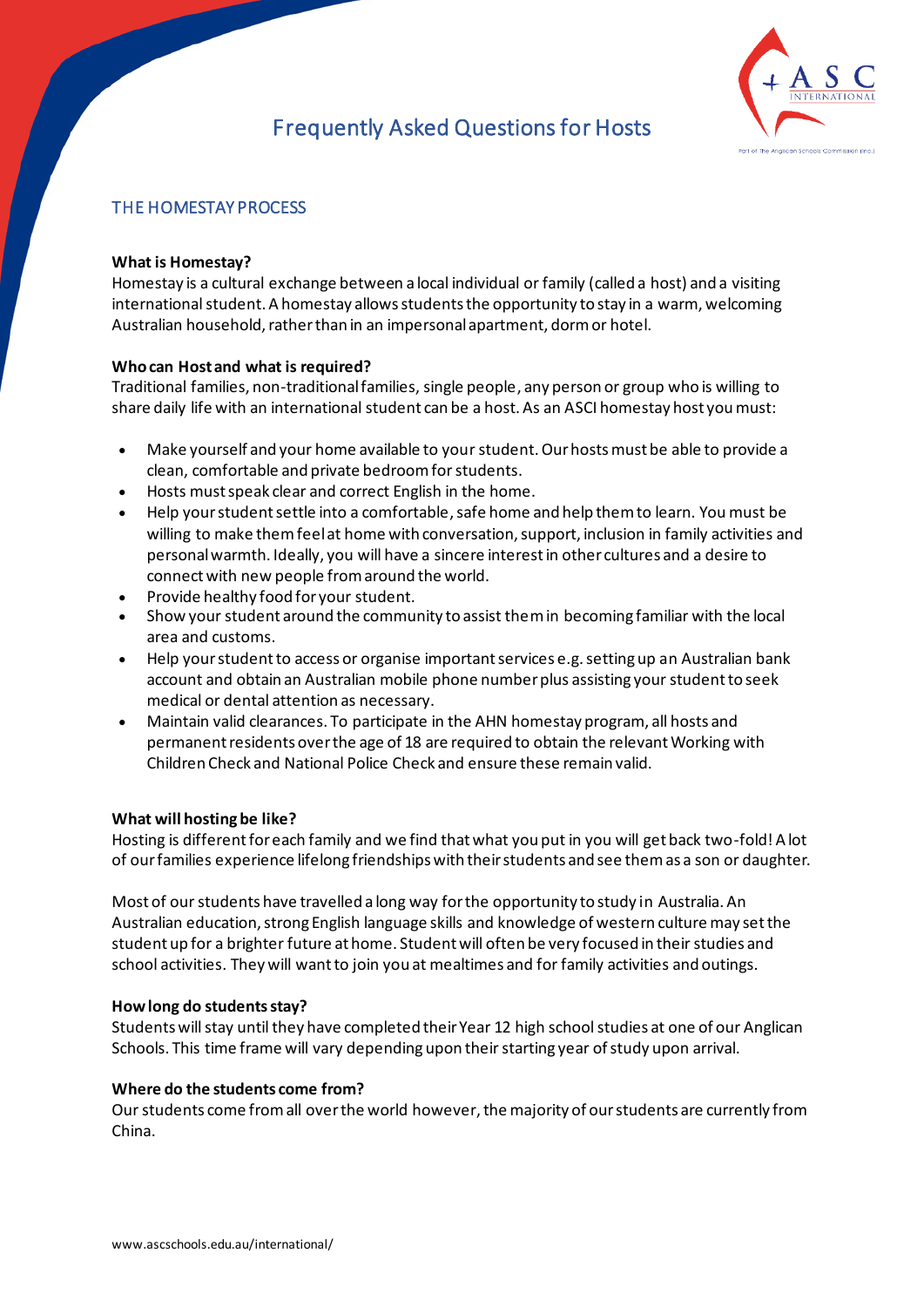# Frequently Asked Questions for Hosts



# THE HOMESTAY PROCESS

#### **What is Homestay?**

Homestay is a cultural exchange between a local individual or family (called a host) and a visiting international student. A homestay allows students the opportunity to stay in a warm, welcoming Australian household, rather than in an impersonal apartment, dorm or hotel.

## **Who can Host and what is required?**

Traditional families, non-traditional families, single people, any person or group who is willing to share daily life with an international student can be a host. As an ASCI homestay host you must:

- Make yourself and your home available to your student. Our hosts must be able to provide a clean, comfortable and private bedroom for students.
- Hosts must speak clear and correct English in the home.
- Help your studentsettle into a comfortable, safe home and help them to learn. You must be willing to make them feel at home with conversation, support, inclusion in family activities and personal warmth. Ideally, you will have a sincere interest in other cultures and a desire to connect with new people from around the world.
- Provide healthy food for your student.
- Show your student around the community to assist themin becoming familiar with the local area and customs.
- Help your studentto access or organise important services e.g. setting up an Australian bank account and obtain an Australian mobile phone number plus assisting your studentto seek medical or dental attention as necessary.
- Maintain valid clearances. To participate in the AHN homestay program, all hosts and permanent residents over the age of 18 are required to obtain the relevant Working with Children Check and National Police Check and ensure these remain valid.

## **What will hosting be like?**

Hosting is different for each family and we find that what you put in you will get back two-fold! A lot of our families experience lifelong friendships with their students and see them as a son or daughter.

Most of our students have travelled a long way for the opportunity to study in Australia. An Australian education, strong English language skills and knowledge of western culture may set the student up for a brighter future at home. Student will often be very focused in their studies and school activities. They will want to join you at mealtimes and for family activities and outings.

#### **Howlong do [studentsstay?](https://www.homestaynetwork.org/hosting/faq-2/#1511149811047-4e3da929-e6e8)**

Students will stay until they have completed their Year 12 high school studies at one of our Anglican Schools. This time frame will vary depending upon their starting year of study upon arrival.

#### **Where do the [students](https://www.homestaynetwork.org/hosting/faq-2/#1511149846121-6b96d011-8e51) come from?**

Our students come from all over the world however, the majority of our students are currently from China.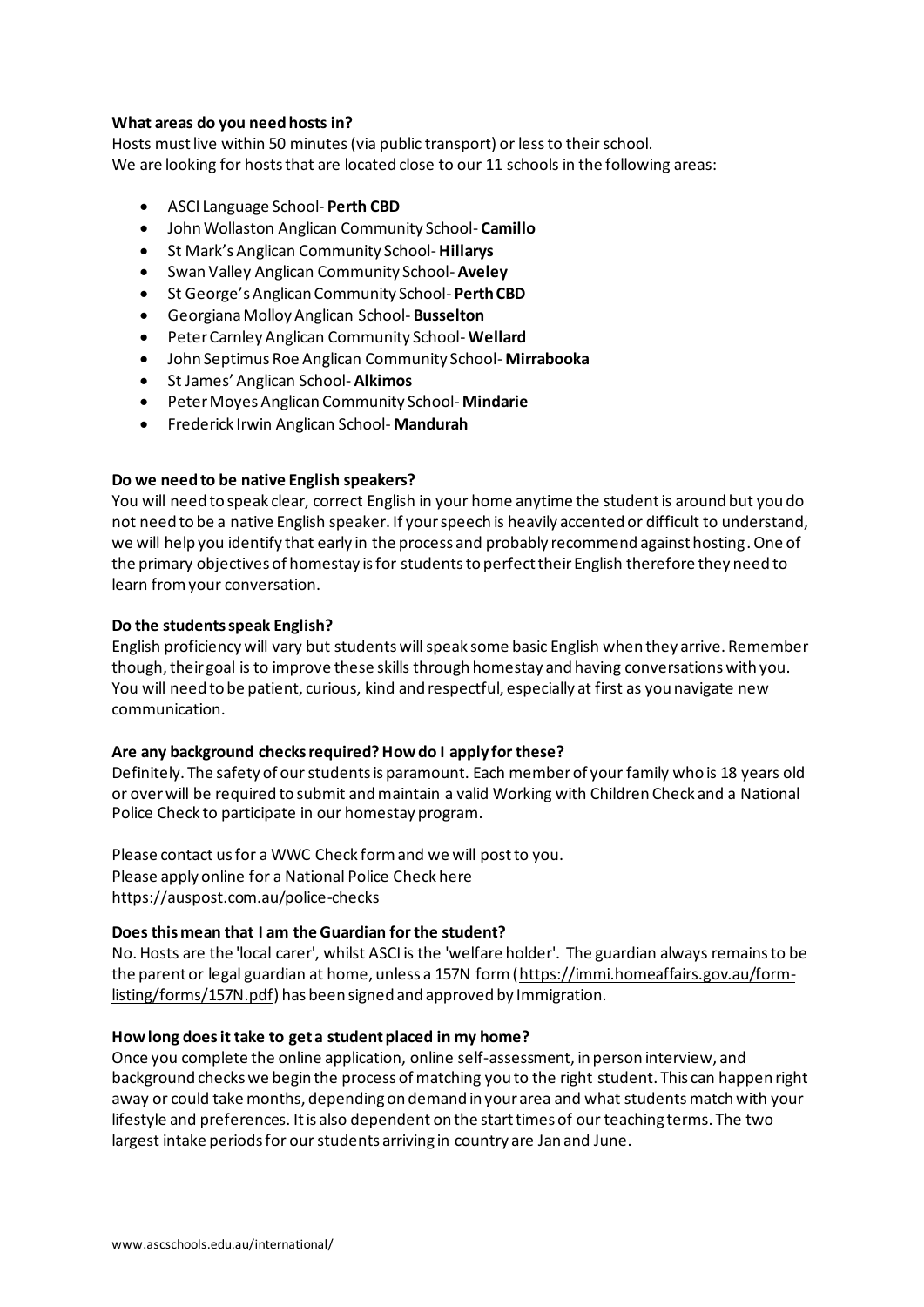## **[What](https://www.homestaynetwork.org/hosting/faq-2/#1511149872156-361306df-879c) areas do you need hosts in?**

Hosts must live within 50 minutes (via public transport) or less to their school. We are looking for hosts that are located close to our 11 schools in the following areas:

- ASCI Language School- **Perth CBD**
- John Wollaston Anglican Community School- **Camillo**
- St Mark's Anglican Community School- **Hillarys**
- Swan Valley Anglican Community School- **Aveley**
- St George's Anglican Community School- **Perth CBD**
- Georgiana Molloy Anglican School- **Busselton**
- Peter Carnley Anglican Community School- **Wellard**
- John Septimus Roe Anglican Community School- **Mirrabooka**
- St James' Anglican School- **Alkimos**
- Peter Moyes Anglican Community School- **Mindarie**
- Frederick Irwin Anglican School- **Mandurah**

## **Do we need to be native English [speakers?](https://www.homestaynetwork.org/hosting/faq-2/#1511149893763-14ce8e58-fa35)**

You will need to speak clear, correct English in your home anytime the studentis around but you do not need to be a native English speaker. If your speech is heavily accented or difficult to understand, we will help you identify that early in the process and probably recommend against hosting. One of the primary objectives of homestay is for studentsto perfect their English therefore they need to learn from your conversation.

## **Do the [studentsspeak](https://www.homestaynetwork.org/hosting/faq-2/#1511149896739-b682153f-f1b1) English?**

English proficiency will vary but students will speak some basic English when they arrive. Remember though, their goal is to improve these skills through homestay and having conversations with you. You will need to be patient, curious, kind and respectful, especially at first as you navigate new communication.

## **Are any background [checksrequired?](https://www.homestaynetwork.org/hosting/faq-2/#1511149898080-72786e5b-f22b)How do I apply for these?**

Definitely. The safety of our students is paramount. Each member of your family who is 18 years old or overwill be required to submit and maintain a valid Working with Children Check and a National Police Check to participate in our homestay program.

Please contact us for a WWC Check form and we will post to you. Please apply online for a National Police Check here https://auspost.com.au/police-checks

## **Does this mean that I am the Guardian for the student?**

No. Hosts are the 'local carer', whilst ASCI is the 'welfare holder'. The guardian always remains to be the parent or legal guardian at home, unless a 157N form [\(https://immi.homeaffairs.gov.au/form](https://immi.homeaffairs.gov.au/form-listing/forms/157N.pdf)[listing/forms/157N.pdf\)](https://immi.homeaffairs.gov.au/form-listing/forms/157N.pdf) has been signed and approved by Immigration.

## **Howlong doesit take to geta [studentplaced](https://www.homestaynetwork.org/hosting/faq-2/#1511149899072-ea1183c3-c640) in my home?**

Once you complete the online application, online self-assessment, in person interview, and background checks we begin the process of matching you to the right student. This can happen right away or could take months, depending on demand in your area and what students match with your lifestyle and preferences. It is also dependent on the start times of our teaching terms. The two largest intake periods for our students arriving in country are Jan and June.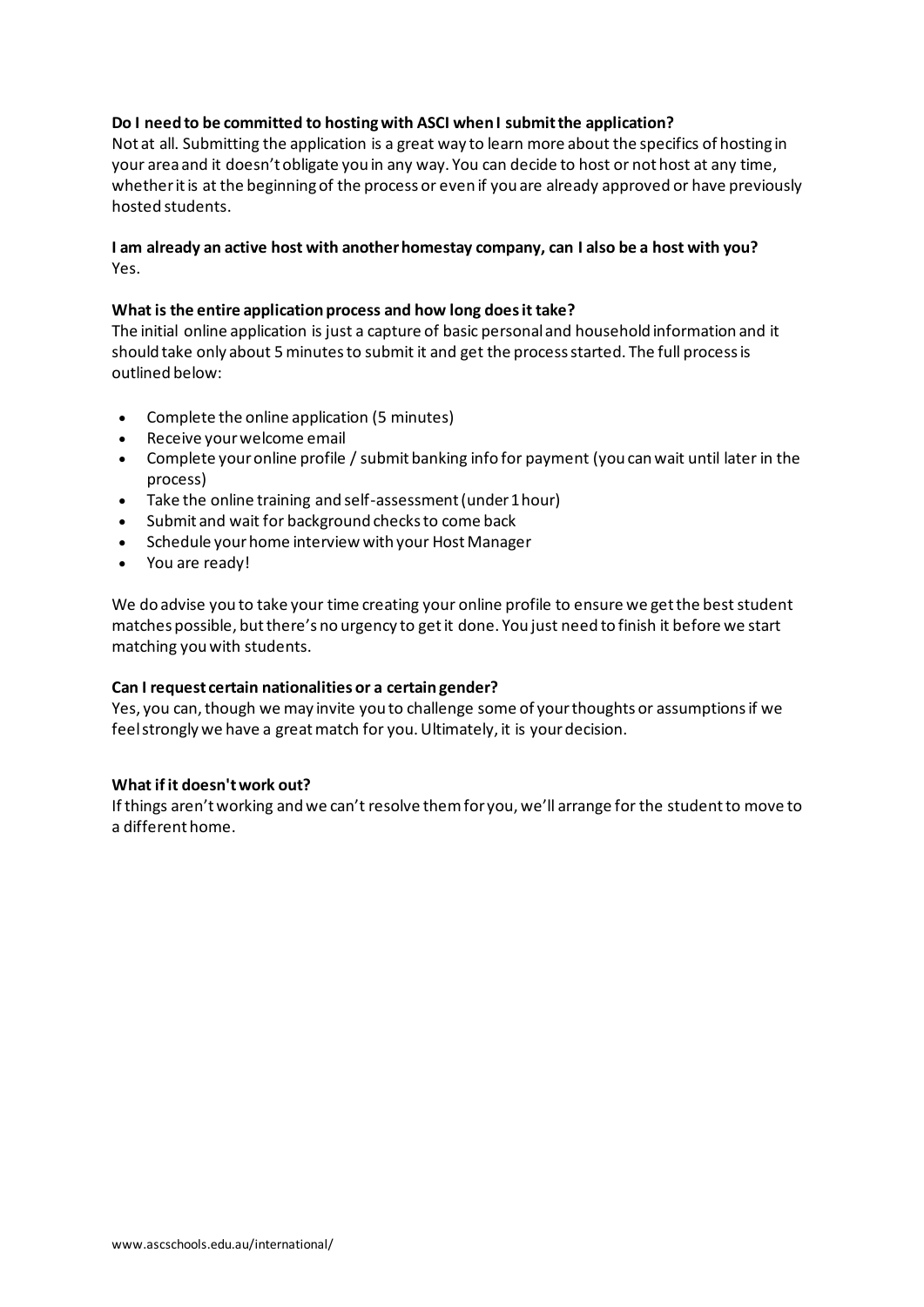# **Do I need to be committed to [hostingwith](https://www.homestaynetwork.org/hosting/faq-2/#1511149899954-4e9686f4-ef11) ASCI whenI submitthe application?**

Not at all. Submitting the application is a great way to learn more about the specifics of hosting in your area and it doesn't obligate you in any way. You can decide to host or not host at any time, whether it is at the beginning of the process or even if you are already approved or have previously hosted students.

## **I am already an active host with another homestay company, can I also be a host with you?** Yes.

## **What is the entire [application](https://www.homestaynetwork.org/hosting/faq-2/#1511149999073-d2c786d6-22c8) process and how long doesit take?**

The initial online application is just a capture of basic personal and household information and it should take only about 5 minutes to submit it and get the process started. The full process is outlined below:

- Complete the online application (5 minutes)
- Receive your welcome email
- Complete your online profile / submit banking info for payment (you can wait until later in the process)
- Take the online training and self-assessment (under 1 hour)
- Submit and wait for background checks to come back
- Schedule your home interview with your Host Manager
- You are ready!

We do advise you to take your time creating your online profile to ensure we get the best student matches possible, but there's no urgency to get it done. You just need to finish it before we start matching you with students.

## **Can I request certain nationalities or a [certaingender?](https://www.homestaynetwork.org/hosting/faq-2/#1511150000185-62828beb-afc5)**

Yes, you can, though we may invite you to challenge some of your thoughts or assumptions if we feel strongly we have a great match for you. Ultimately, it is yourdecision.

## **What ifit [doesn'twork](https://www.homestaynetwork.org/hosting/faq-2/#1511150001295-75c008b0-b47e) out?**

If things aren't working and we can't resolve them for you, we'll arrange for the studentto move to a different home.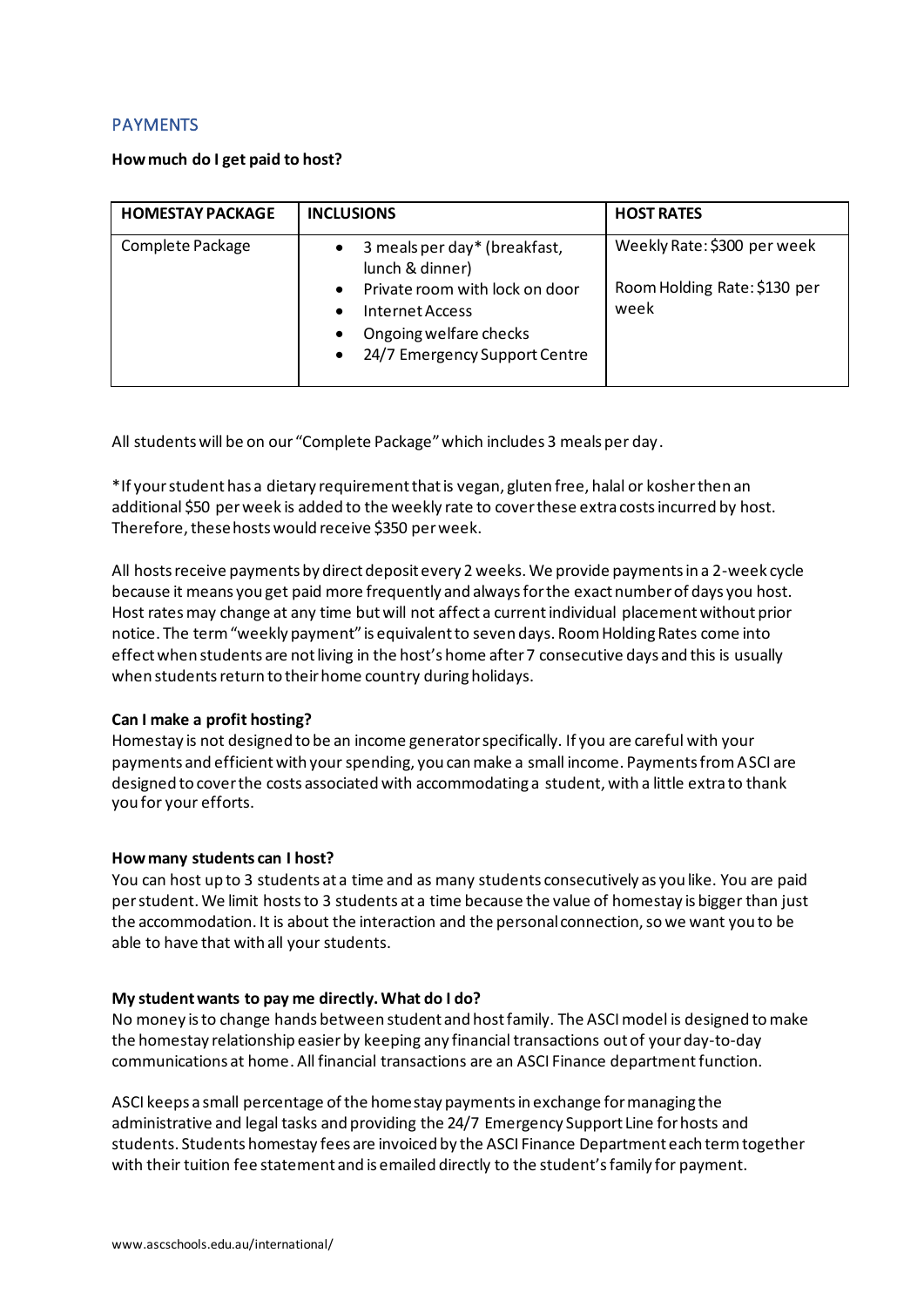# PAYMENTS

## **[Howmuch](https://www.homestaynetwork.org/hosting/faq-2/#1511150403929-f3b4e38d-d9c3) do I get paid to host?**

| <b>HOMESTAY PACKAGE</b> | <b>INCLUSIONS</b>                                                                                                                                                                                      | <b>HOST RATES</b>                                                   |
|-------------------------|--------------------------------------------------------------------------------------------------------------------------------------------------------------------------------------------------------|---------------------------------------------------------------------|
| Complete Package        | 3 meals per day* (breakfast,<br>lunch & dinner)<br>Private room with lock on door<br>$\bullet$<br>Internet Access<br>Ongoing welfare checks<br>$\bullet$<br>24/7 Emergency Support Centre<br>$\bullet$ | Weekly Rate: \$300 per week<br>Room Holding Rate: \$130 per<br>week |

All students will be on our "Complete Package" which includes 3 meals per day.

\*If your student has a dietary requirement that is vegan, gluten free, halal or kosher then an additional \$50 per week is added to the weekly rate to cover these extra costs incurred by host. Therefore, these hosts would receive \$350 per week.

All hosts receive payments by direct deposit every 2 weeks. We provide payments in a 2-week cycle because it means you get paid more frequently and always for the exact number of days you host. Host rates may change at any time but will not affect a current individual placement without prior notice. The term "weekly payment" is equivalent to seven days. Room Holding Rates come into effect when students are not living in the host's home after 7 consecutive days and this is usually when students return to their home country during holidays.

## **Can I make a profit [hosting?](https://www.homestaynetwork.org/hosting/faq-2/#1511150404066-5efdf613-343e)**

Homestay is not designed to be an income generator specifically. If you are careful with your payments and efficient with your spending, you can make a small income. Payments from ASCI are designed to cover the costs associated with accommodating a student, with a little extra to thank you for your efforts.

## **[Howmany](https://www.homestaynetwork.org/hosting/faq-2/#1511150571617-7a572a22-be4d) students can I host?**

You can host up to 3 students at a time and as many students consecutively as you like. You are paid per student. We limit hosts to 3 students at a time because the value of homestay is bigger than just the accommodation. It is about the interaction and the personal connection, so we want you to be able to have that with all your students.

## **My studentwants to pay me [directly.What](https://www.homestaynetwork.org/hosting/faq-2/#1511150573179-a7f1991d-5bfe) do I do?**

No money is to change hands between student and host family. The ASCImodel is designed to make the homestay relationship easier by keeping any financial transactions out of your day-to-day communications at home. All financial transactions are an ASCI Finance department function.

ASCI keeps a small percentage of the homestay payments in exchange for managing the administrative and legal tasks and providing the 24/7 Emergency Support Line for hosts and students. Students homestay fees are invoiced by the ASCI Finance Department each term together with their tuition fee statement and is emailed directly to the student's family for payment.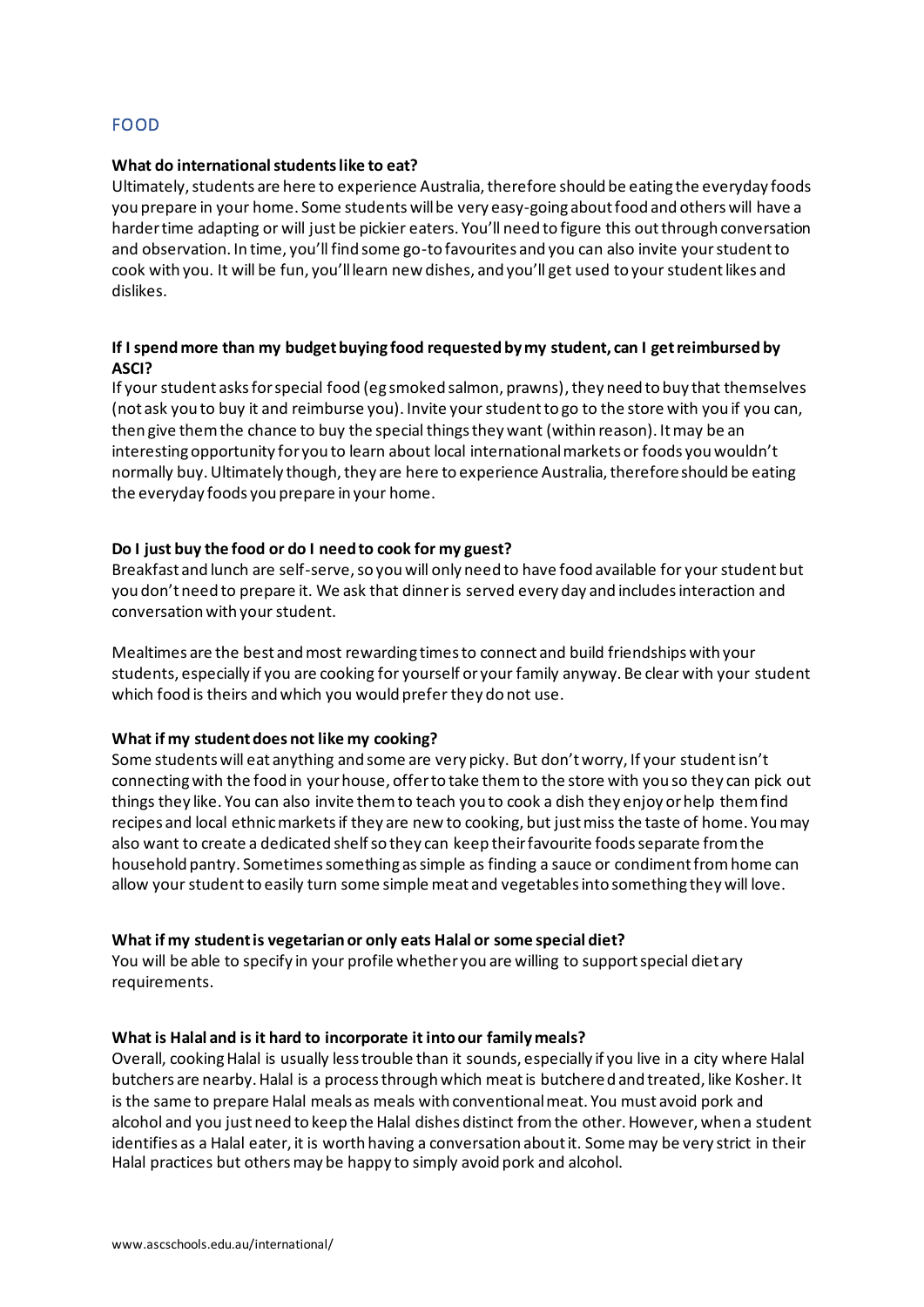# FOOD

#### **What do [internationalstudentslike](https://www.homestaynetwork.org/hosting/faq-2/#1511150739240-7cd1866b-8148) to eat?**

Ultimately, students are here to experience Australia, therefore should be eating the everyday foods you prepare in your home. Some students will be very easy-going about food and others will have a harder time adapting or will just be pickier eaters. You'll need to figure this out through conversation and observation. In time, you'll find some go-to favourites and you can also invite your student to cook with you. It will be fun, you'll learn new dishes, and you'll get used to your student likes and dislikes.

## **If I spendmore than my budgetbuying food requested bymy student, can I [getreimbursed](https://www.homestaynetwork.org/hosting/faq-2/#1511150739347-1af4bc26-b4e4) by [ASCI?](https://www.homestaynetwork.org/hosting/faq-2/#1511150739347-1af4bc26-b4e4)**

If your student asks for special food (eg smoked salmon, prawns), they need to buy that themselves (not ask you to buy it and reimburse you). Invite your studentto go to the store with you if you can, then give them the chance to buy the special things they want (within reason). It may be an interesting opportunity for you to learn about local international markets or foods you wouldn't normally buy. Ultimately though, they are here to experience Australia, therefore should be eating the everyday foods you prepare in your home.

#### **Do I just buy the food or do I need to cook for my guest?**

Breakfast and lunch are self-serve, so you will only need to have food available for your student but you don't need to prepare it. We ask that dinner is served every day and includes interaction and conversation with your student.

Mealtimes are the best and most rewarding times to connect and build friendships with your students, especially if you are cooking for yourself or your family anyway. Be clear with your student which food is theirs and which you would prefer they do not use.

#### **What if my [studentdoes](https://www.homestaynetwork.org/hosting/faq-2/#1511150803493-bb03122f-3fc2) not like my cooking?**

Some students will eat anything and some are very picky. But don't worry, If your studentisn't connecting with the food in your house, offer to take them to the store with you so they can pick out things they like. You can also invite them to teach you to cook a dish they enjoy or help them find recipes and local ethnic markets if they are new to cooking, but just miss the taste of home. You may also want to create a dedicated shelf so they can keep their favourite foods separate from the household pantry. Sometimes something as simple as finding a sauce or condiment from home can allow your studentto easily turn some simple meat and vegetables into something they will love.

#### **What if my studentis [vegetarian](https://www.homestaynetwork.org/hosting/faq-2/#1511150843868-5e989394-90e7) or only eats Halal or some special diet?**

You will be able to specify in your profile whether you are willing to support special dietary requirements.

#### **What is Halal and is it hard to incorporate it intoour [familymeals?](https://www.homestaynetwork.org/hosting/faq-2/#1511150862772-df20556f-01f3)**

Overall, cooking Halal is usually less trouble than it sounds, especially if you live in a city where Halal butchers are nearby. Halal is a process through which meat is butchered and treated, like Kosher. It is the same to prepare Halal meals as meals with conventional meat. You must avoid pork and alcohol and you just need to keep the Halal dishes distinct from the other. However, when a student identifies as a Halal eater, it is worth having a conversation about it. Some may be very strict in their Halal practices but others may be happy to simply avoid pork and alcohol.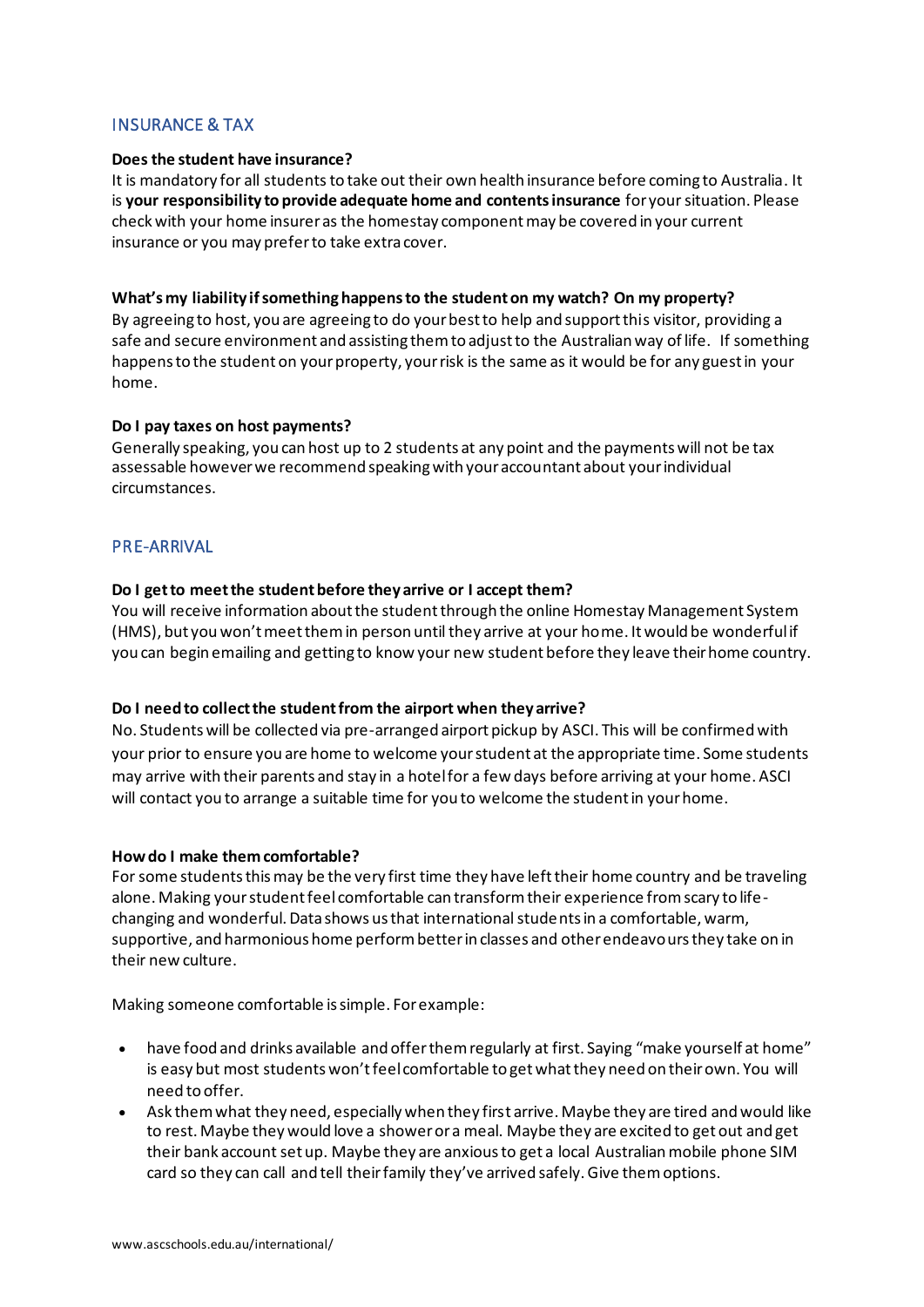# INSURANCE & TAX

## **Does the student have [insurance?](https://www.homestaynetwork.org/hosting/faq-2/#1511150939797-f4740843-64de)**

It is mandatory for all students to take out their own health insurance before coming to Australia. It is **your responsibility to provide adequate home and contents insurance** for your situation. Please check with your home insurer as the homestay component may be covered in your current insurance or you may prefer to take extra cover.

#### **What'smy liability [ifsomethinghappensto](https://www.homestaynetwork.org/hosting/faq-2/#1511150943714-5cb489a3-bde6) the studenton my watch? On my property?**

By agreeing to host, you are agreeing to do your best to help and support this visitor, providing a safe and secure environment and assisting them to adjust to the Australian way of life. If something happens to the student on your property, your risk is the same as it would be for any guest in your home.

#### **Do I pay taxes on host [payments?](https://www.homestaynetwork.org/hosting/faq-2/#1511151078192-bec2dbf0-7f99)**

Generally speaking, you can host up to 2 students at any point and the payments will not be tax assessable however we recommend speaking with your accountant about your individual circumstances.

# PRE-ARRIVAL

#### **Do I getto meetthe [studentbefore](https://www.homestaynetwork.org/hosting/faq-2/#1511152274156-faaf03e9-56f2) they arrive or I accept them?**

You will receive information about the student through the online Homestay Management System (HMS), but you won't meet them in person until they arrive at your home. It would be wonderful if you can begin emailing and getting to know your new student before they leave their home country.

## **Do I need to collect the student from the airport when they arrive?**

No. Students will be collected via pre-arranged airport pickup by ASCI. This will be confirmed with your prior to ensure you are home to welcome your student at the appropriate time. Some students may arrive with their parents and stay in a hotel for a few days before arriving at your home. ASCI will contact you to arrange a suitable time for you to welcome the student in your home.

#### **Howdo I make [themcomfortable?](https://www.homestaynetwork.org/hosting/faq-2/#1511152375073-6b9bda73-4db1)**

For some students this may be the very first time they have left their home country and be traveling alone. Making your student feel comfortable can transform their experience from scary to lifechanging and wonderful. Data shows us that international students in a comfortable, warm, supportive, and harmonious home perform better in classes and other endeavours they take on in their new culture.

Making someone comfortable is simple. For example:

- have food and drinks available and offer them regularly at first. Saying "make yourself at home" is easy but most students won't feel comfortable to get what they need on their own. You will need to offer.
- Ask them what they need, especially when they first arrive. Maybe they are tired and would like to rest. Maybe they would love a shower or a meal. Maybe they are excited to get out and get their bank account set up. Maybe they are anxious to get a local Australian mobile phone SIM card so they can call and tell their family they've arrived safely. Give them options.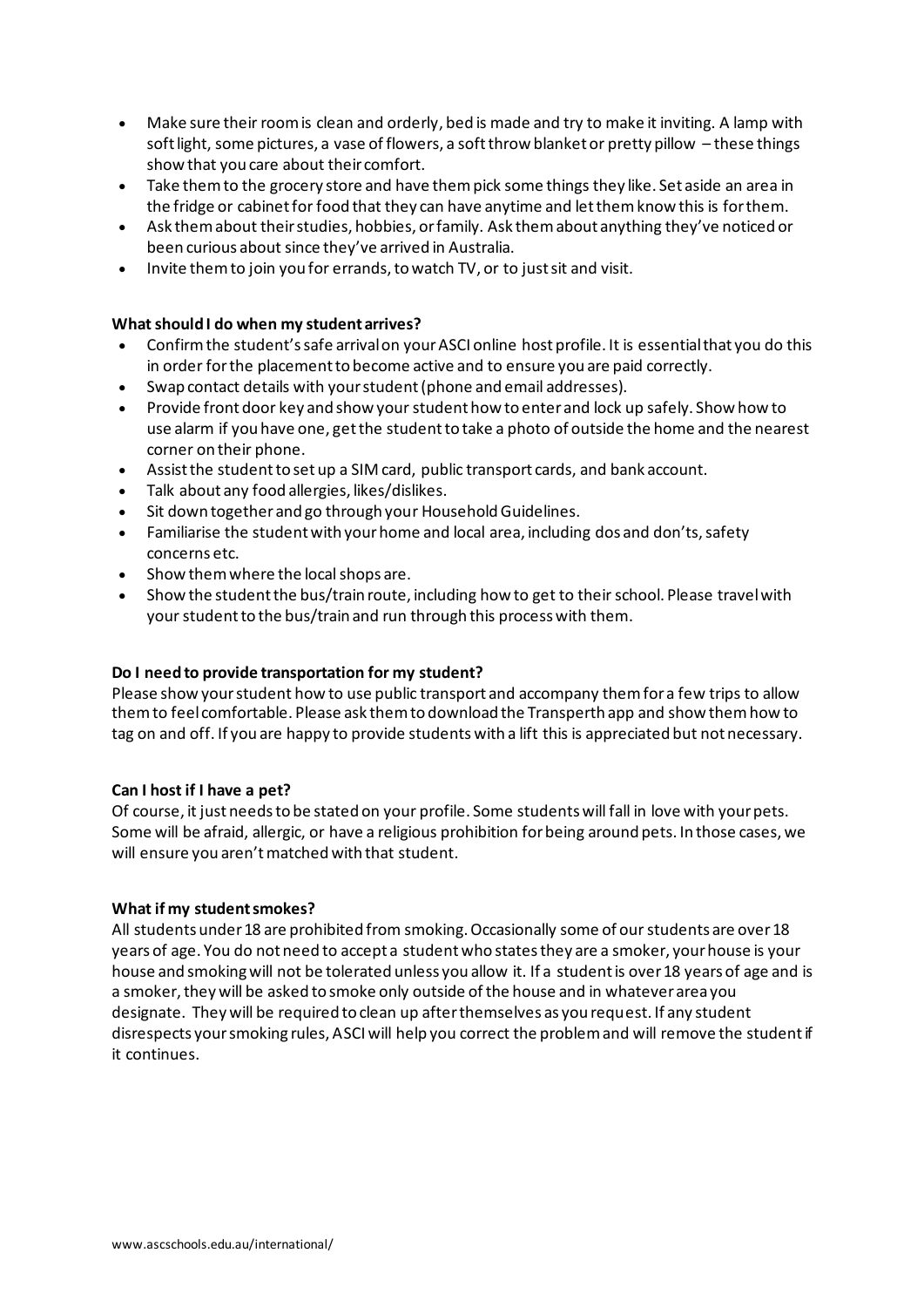- Make sure their room is clean and orderly, bed is made and try to make it inviting. A lamp with soft light, some pictures, a vase of flowers, a soft throw blanket or pretty pillow – these things show that you care about their comfort.
- Take them to the grocery store and have them pick some things they like. Set aside an area in the fridge or cabinet for food that they can have anytime and let them know this is for them.
- Ask them about their studies, hobbies, or family. Ask them about anything they've noticed or been curious about since they've arrived in Australia.
- Invite them to join you for errands, to watch TV, or to just sit and visit.

## **[Whatshould](https://www.homestaynetwork.org/hosting/faq-2/#1511152273880-dd5d4ca5-97ad) I do when my student arrives?**

- Confirm the student's safe arrival on your ASCI online host profile. It is essential that you do this in order forthe placement to become active and to ensure you are paid correctly.
- Swap contact details with your student (phone and email addresses).
- Provide front door key and show your student how to enter and lock up safely. Show how to use alarm if you have one, get the student to take a photo of outside the home and the nearest corner on their phone.
- Assist the student to set up a SIM card, public transport cards, and bank account.
- Talk about any food allergies, likes/dislikes.
- Sit down together and go through your Household Guidelines.
- Familiarise the student with your home and local area, including dos and don'ts, safety concerns etc.
- Show them where the local shops are.
- Show the student the bus/train route, including how to get to their school. Please travel with your student to the bus/train and run through this process with them.

# **Do I need to provide [transportation](https://www.homestaynetwork.org/hosting/faq-2/#1511152381308-22821727-e39a) for my student?**

Please show your student how to use public transport and accompany them for a few trips to allow them to feel comfortable. Please ask them to download the Transperth app and show them how to tag on and off. If you are happy to provide students with a lift this is appreciated but not necessary.

# **Can I host if I [have](https://www.homestaynetwork.org/hosting/faq-2/#1511152383801-4fc4ed0b-f05f) a pet?**

Of course, it just needs to be stated on your profile. Some students will fall in love with your pets. Some will be afraid, allergic, or have a religious prohibition for being around pets. In those cases, we will ensure you aren't matched with that student.

## **What if my [studentsmokes?](https://www.homestaynetwork.org/hosting/faq-2/#1511152385814-dbfafe55-97ce)**

All students under 18 are prohibited from smoking. Occasionally some of our students are over 18 years of age. You do not need to accept a studentwho states they are a smoker, your house is your house and smoking will not be tolerated unless you allow it. If a student is over 18 years of age and is a smoker, they will be asked to smoke only outside of the house and in whatever area you designate. They will be required to clean up after themselves as you request. If any student disrespects your smoking rules, ASCI will help you correct the problem and will remove the studentif it continues.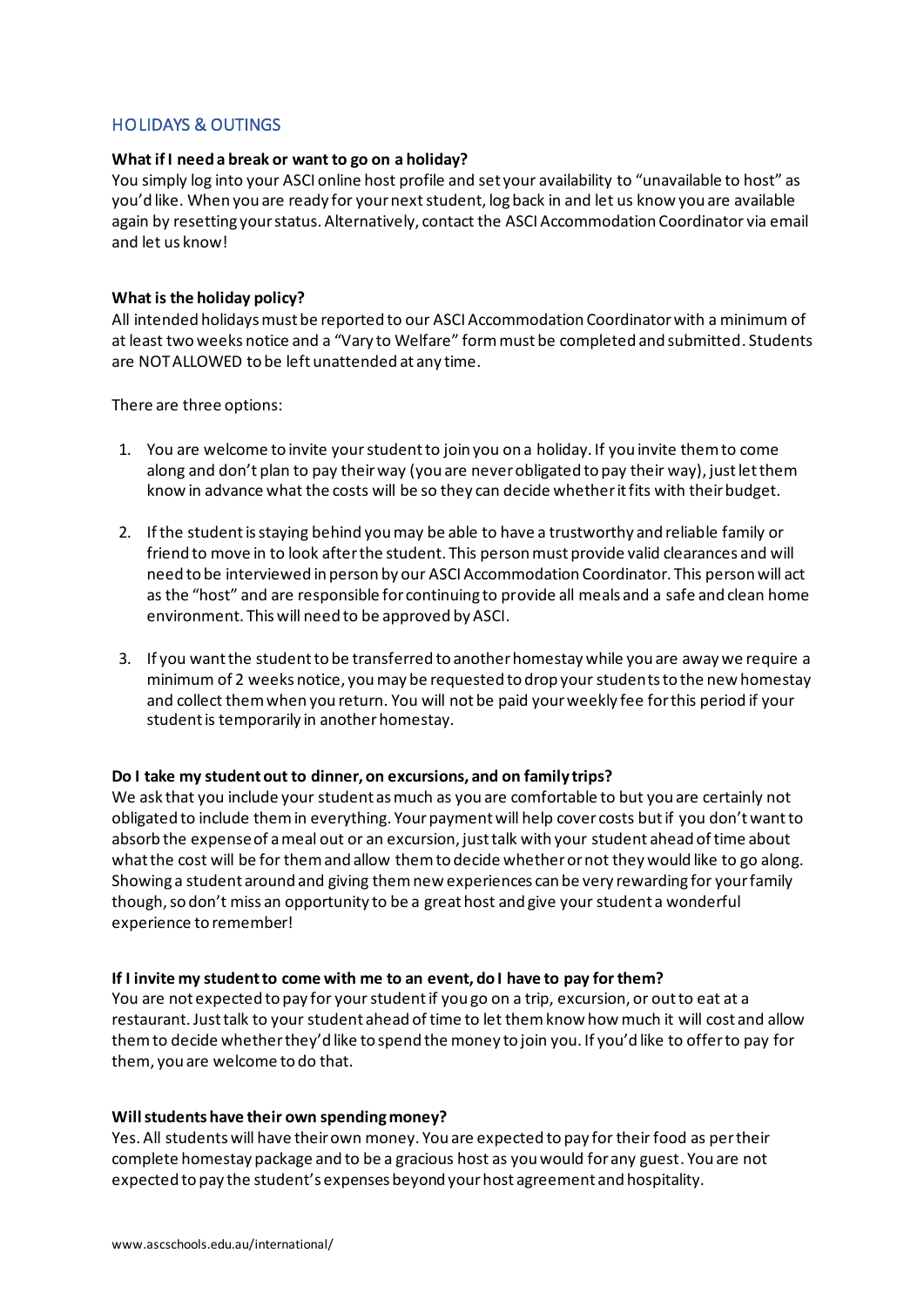# HOLIDAYS & OUTINGS

## **What ifI need a break or want to go on a [holiday?](https://www.homestaynetwork.org/hosting/faq-2/#1511152537756-533f02d8-772c)**

You simply log into your ASCI online host profile and set your availability to "unavailable to host" as you'd like. When you are ready for your next student, log back in and let us know you are available again by resetting your status. Alternatively, contact the ASCI Accommodation Coordinator via email and let us know!

## **What is the [holiday](https://www.homestaynetwork.org/hosting/faq-2/#1511152538093-000ee87e-7a7c) policy?**

All intended holidays must be reported to our ASCI Accommodation Coordinator with a minimum of at least two weeks notice and a "Vary to Welfare" form must be completed and submitted. Students are NOT ALLOWED to be left unattended at any time.

There are three options:

- 1. You are welcome to invite your studentto join you on a holiday. If you invite them to come along and don't plan to pay their way (you are never obligated to pay their way), just let them know in advance what the costs will be so they can decide whether it fits with their budget.
- 2. If the studentis staying behind you may be able to have a trustworthy and reliable family or friend to move in to look after the student. This person must provide valid clearances and will need to be interviewed in person by our ASCI Accommodation Coordinator. This person will act as the "host" and are responsible for continuing to provide all meals and a safe and clean home environment. This will need to be approved by ASCI.
- 3. If you want the student to be transferred to another homestay while you are away we require a minimum of 2 weeks notice, you may be requested to drop your students to the new homestay and collect them when you return. You will not be paid your weekly fee for this period if your student is temporarily in another homestay.

## **Do I take my [studentout](https://www.homestaynetwork.org/hosting/faq-2/#1511152635359-1d139530-7286) to dinner, on excursions, and on family trips?**

We ask that you include your student as much as you are comfortable to but you are certainly not obligated to include them in everything. Your payment will help cover costs but if you don't want to absorb the expense of a meal out or an excursion, just talk with your student ahead of time about what the cost will be for them and allow them to decide whether or not they would like to go along. Showing a student around and giving them new experiences can be very rewarding for your family though, so don't miss an opportunity to be a great host and give your student a wonderful experience to remember!

## **If I invite my [studentto](https://www.homestaynetwork.org/hosting/faq-2/#1511152674791-bfc51d42-cb21) come with me to an event, doI have to pay for them?**

You are not expected to pay for your studentif you go on a trip, excursion, or out to eat at a restaurant. Just talk to your student ahead of time to let them know how much it will cost and allow them to decide whether they'd like to spend the money to join you. If you'd like to offer to pay for them, you are welcome to do that.

## **Willstudents have their own [spendingmoney?](https://www.homestaynetwork.org/hosting/faq-2/#1511152706770-65464b7c-7a22)**

Yes. All students will have their own money. You are expected to pay for their food as per their complete homestay package and to be a gracious host as you would for any guest. You are not expected to pay the student's expenses beyond your host agreement and hospitality.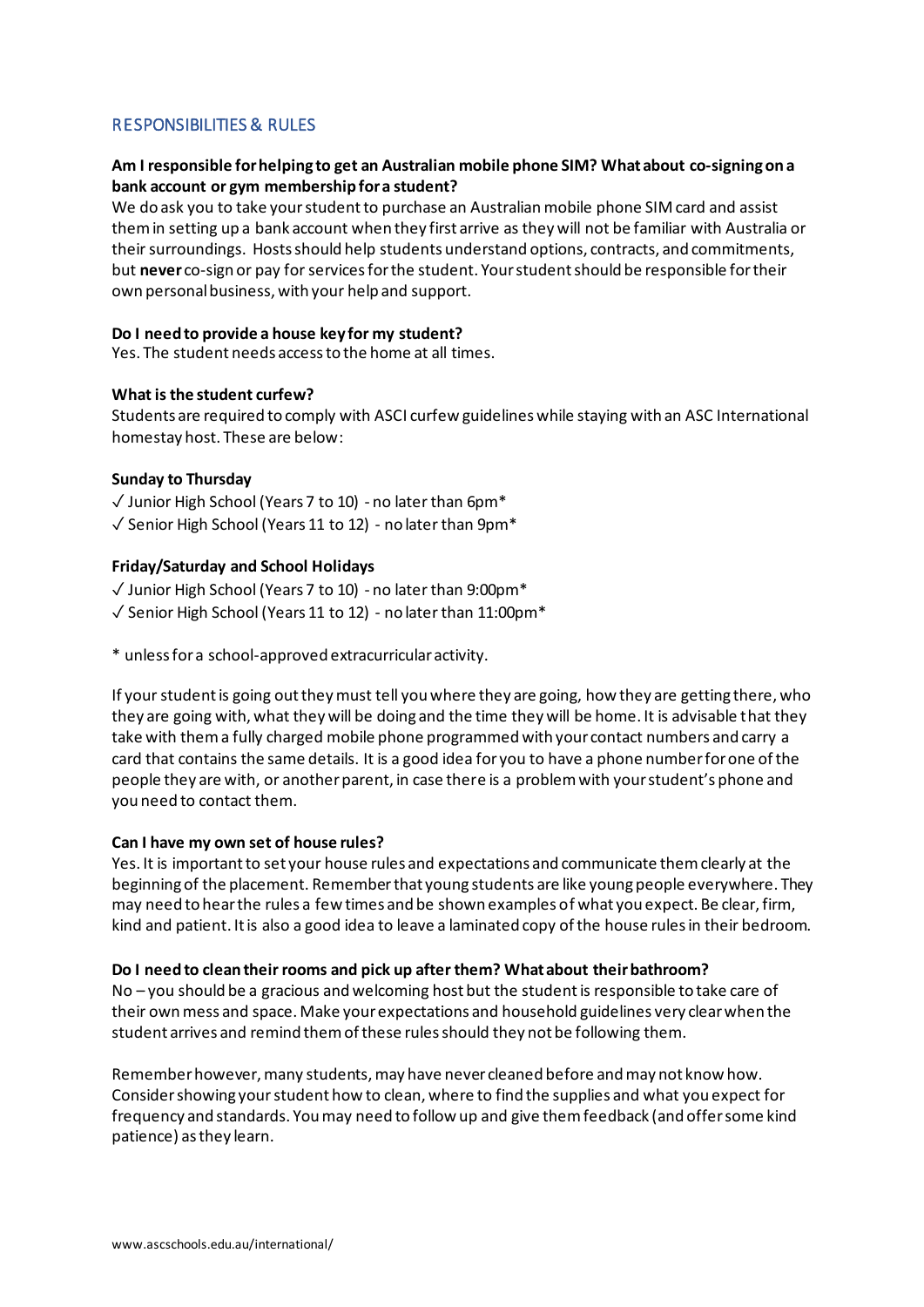# RESPONSIBILITIES & RULES

## **Am I responsible forhelping to get an Australian mobile phone SIM? Whatabout [co-signingona](https://www.homestaynetwork.org/hosting/faq-2/#1511152738101-f51d32a5-9e02) bank account or gym [membership](https://www.homestaynetwork.org/hosting/faq-2/#1511152738101-f51d32a5-9e02) fora student?**

We do ask you to take your student to purchase an Australian mobile phone SIM card and assist them in setting up a bank account when they first arrive as they will not be familiar with Australia or their surroundings. Hosts should help students understand options, contracts, and commitments, but **never** co-sign or pay for services for the student. Your studentshould be responsible for their own personal business, with your help and support.

#### **Do I need to provide a house key for my student?**

Yes. The student needs access to the home at all times.

#### **[What](https://www.homestaynetwork.org/hosting/faq-2/#1511152738413-1a7722cb-2237) is the student curfew?**

Students are required to comply with ASCI curfew guidelines while staying with an ASC International homestay host. These are below:

#### **Sunday to Thursday**

✓ Junior High School (Years 7 to 10) - no later than 6pm\* ✓ Senior High School (Years 11 to 12) - no later than 9pm\*

#### **Friday/Saturday and School Holidays**

✓ Junior High School (Years 7 to 10) - no later than 9:00pm\* ✓ Senior High School (Years 11 to 12) - no later than 11:00pm\*

\* unless for a school-approved extracurricular activity.

If your student is going out they must tell you where they are going, how they are getting there, who they are going with, what they will be doing and the time they will be home. It is advisable that they take with them a fully charged mobile phone programmed with your contact numbers and carry a card that contains the same details. It is a good idea for you to have a phone number for one of the people they are with, or another parent, in case there is a problem with your student's phone and you need to contact them.

#### **Can I have my own set of house [rules?](https://www.homestaynetwork.org/hosting/faq-2/#1511152831703-f9615305-3d92)**

Yes. It is important to set your house rules and expectations and communicate them clearly at the beginning of the placement. Rememberthat young students are like young people everywhere. They may need to hear the rules a few times and be shown examples of what you expect. Be clear, firm, kind and patient. It is also a good idea to leave a laminated copy of the house rules in their bedroom.

#### **Do I need to cleantheir rooms and pick up after them? Whatabout [theirbathroom?](https://www.homestaynetwork.org/hosting/faq-2/#1511152898098-e9117515-6528)**

No – you should be a gracious and welcoming host but the studentis responsible to take care of their own mess and space. Make your expectations and household guidelines very clear when the student arrives and remind them of these rules should they not be following them.

Remember however, many students, may have never cleaned before and may not know how. Consider showing your student how to clean, where to find the supplies and what you expect for frequency and standards. You may need to follow up and give them feedback (and offer some kind patience) as they learn.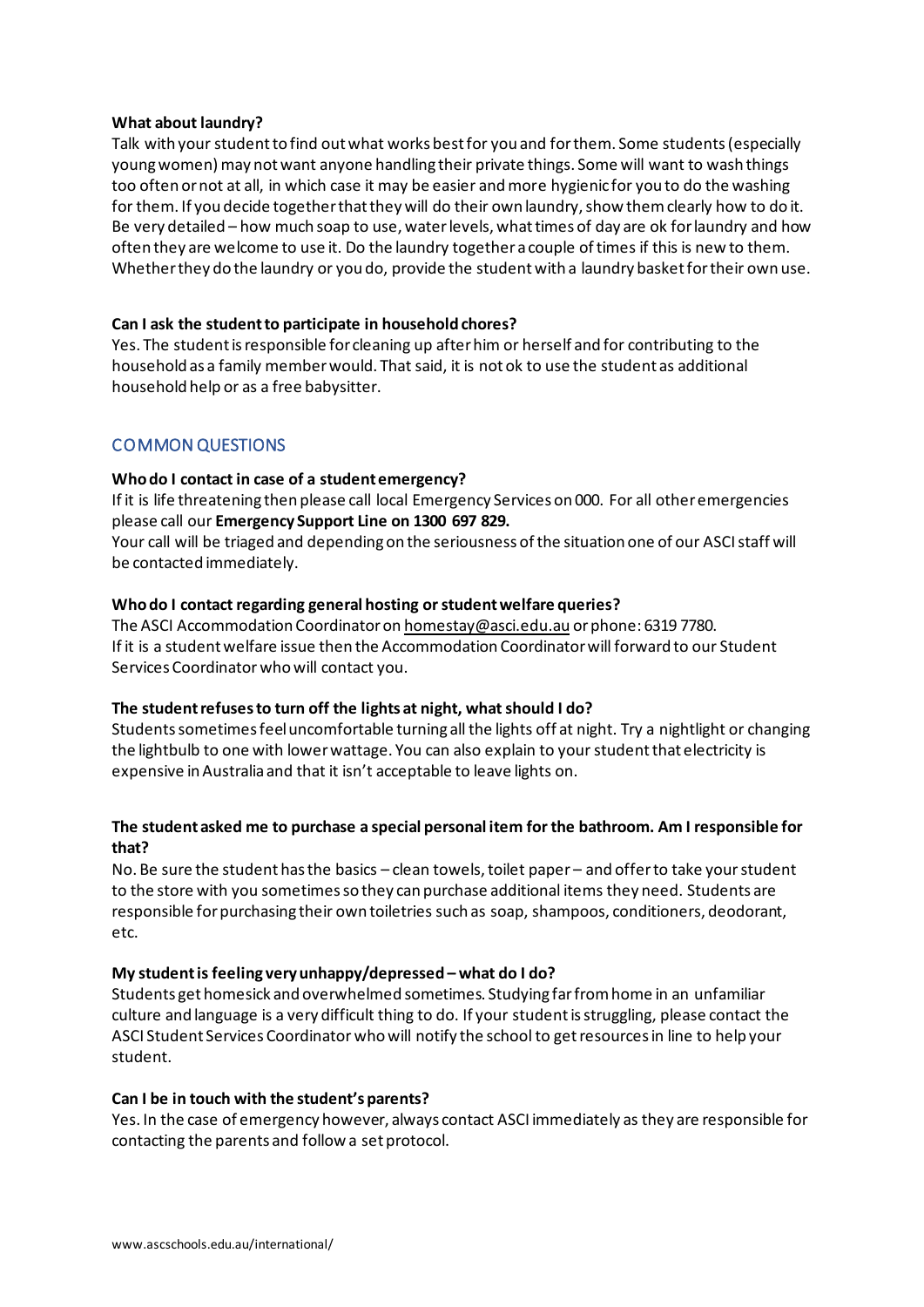## **What about [laundry?](https://www.homestaynetwork.org/hosting/faq-2/#1511152902052-28f2f251-9815)**

Talk with your studentto find out what works best for you and for them. Some students(especially young women) may not want anyone handling their private things. Some will want to wash things too often or not at all, in which case it may be easier and more hygienic for you to do the washing for them. If you decide together that they will do their own laundry, show them clearly how to do it. Be very detailed – how much soap to use, water levels, what times of day are ok for laundry and how often they are welcome to use it. Do the laundry together a couple of times if this is new to them. Whether they do the laundry or you do, provide the studentwith a laundry basket for their own use.

## **Can I ask the studentto [participate](https://www.homestaynetwork.org/hosting/faq-2/#1511153003286-2afd31be-41be) in household chores?**

Yes. The student is responsible for cleaning up after him or herself and for contributing to the household as a family member would. That said, it is not ok to use the student as additional household help or as a free babysitter.

# COMMON QUESTIONS

#### **Who do I contact in case of a student emergency?**

If it is life threatening then please call local Emergency Services on 000. For all other emergencies please call our **Emergency Support Line on 1300 697 829.**

Your call will be triaged and depending on the seriousness of the situation one of our ASCI staff will be contacted immediately.

#### **Who do I contact regarding general hosting or student welfare queries?**

The ASCI Accommodation Coordinator o[n homestay@asci.edu.au](mailto:homestay@asci.edu.au) or phone: 6319 7780. If it is a student welfare issue then the Accommodation Coordinator will forward to our Student Services Coordinatorwho will contact you.

#### **The [studentrefusesto](https://www.homestaynetwork.org/hosting/faq-2/#1511153039664-98bfcd92-d356) turn off the lights at night, whatshould I do?**

Students sometimes feel uncomfortable turning all the lights off at night. Try a nightlight or changing the lightbulb to one with lower wattage. You can also explain to your studentthat electricity is expensive in Australia and that it isn't acceptable to leave lights on.

## **The [studentasked](https://www.homestaynetwork.org/hosting/faq-2/#1511153039974-9d23db30-e80c) me to purchase a special personal item for the bathroom. Am I responsible for [that?](https://www.homestaynetwork.org/hosting/faq-2/#1511153039974-9d23db30-e80c)**

No. Be sure the student has the basics – clean towels, toilet paper – and offer to take your student to the store with you sometimes so they can purchase additional items they need. Students are responsible for purchasing their own toiletries such as soap, shampoos, conditioners, deodorant, etc.

## **My studentis feeling [veryunhappy/depressed](https://www.homestaynetwork.org/hosting/faq-2/#1511153116158-663dfc16-7b1a) – what do I do?**

Students get homesick and overwhelmed sometimes. Studying far from home in an unfamiliar culture and language is a very difficult thing to do. If your studentis struggling, please contact the ASCI Student Services Coordinator who will notify the school to get resources in line to help your student.

#### **Can I be in touch with the student's [parents?](https://www.homestaynetwork.org/hosting/faq-2/#1511153118976-bf081b4b-07ec)**

Yes. In the case of emergency however, always contact ASCI immediately as they are responsible for contacting the parents and follow a set protocol.